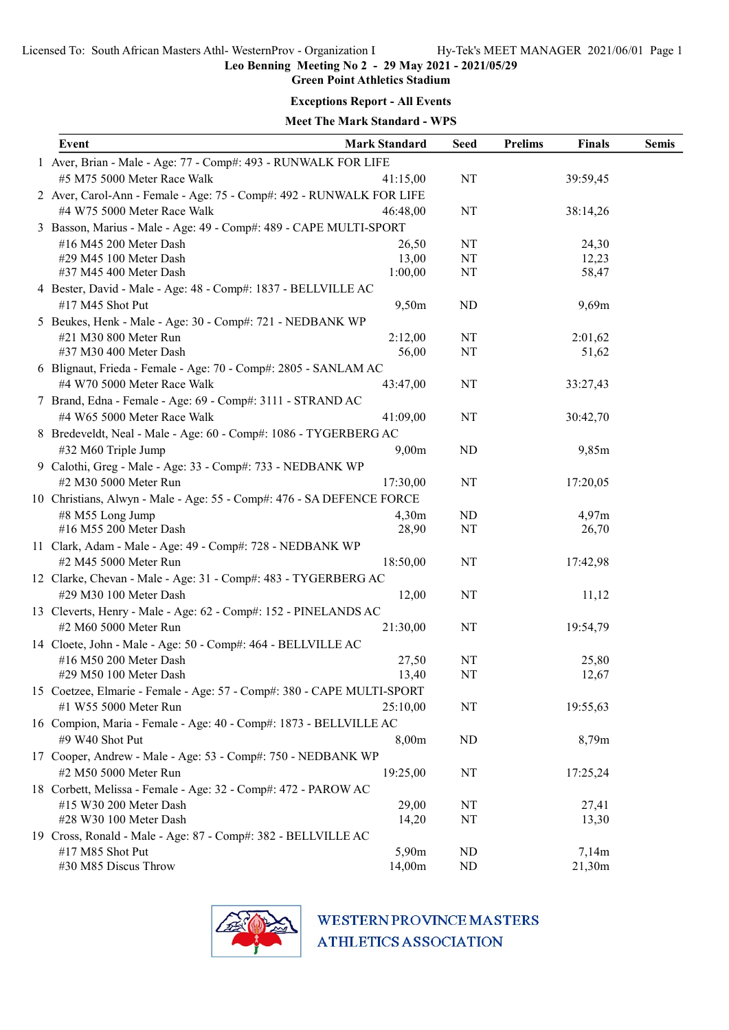Green Point Athletics Stadium

#### Exceptions Report - All Events

# Meet The Mark Standard - WPS

| Event                                                                  | <b>Mark Standard</b> | <b>Seed</b> | <b>Prelims</b> | <b>Finals</b>   | <b>Semis</b> |
|------------------------------------------------------------------------|----------------------|-------------|----------------|-----------------|--------------|
| 1 Aver, Brian - Male - Age: 77 - Comp#: 493 - RUNWALK FOR LIFE         |                      |             |                |                 |              |
| #5 M75 5000 Meter Race Walk                                            | 41:15,00             | NT          |                | 39:59,45        |              |
| 2 Aver, Carol-Ann - Female - Age: 75 - Comp#: 492 - RUNWALK FOR LIFE   |                      |             |                |                 |              |
| #4 W75 5000 Meter Race Walk                                            | 46:48,00             | NT          |                | 38:14,26        |              |
| 3 Basson, Marius - Male - Age: 49 - Comp#: 489 - CAPE MULTI-SPORT      |                      |             |                |                 |              |
| #16 M45 200 Meter Dash                                                 | 26,50                | NT          |                | 24,30           |              |
| #29 M45 100 Meter Dash                                                 | 13,00                | NT          |                | 12,23           |              |
| #37 M45 400 Meter Dash                                                 | 1:00,00              | NT          |                | 58,47           |              |
| 4 Bester, David - Male - Age: 48 - Comp#: 1837 - BELLVILLE AC          |                      |             |                |                 |              |
| #17 M45 Shot Put                                                       | 9,50m                | <b>ND</b>   |                | 9,69m           |              |
| 5 Beukes, Henk - Male - Age: 30 - Comp#: 721 - NEDBANK WP              |                      |             |                |                 |              |
| #21 M30 800 Meter Run                                                  | 2:12,00              | NT          |                | 2:01,62         |              |
| #37 M30 400 Meter Dash                                                 | 56,00                | NT          |                | 51,62           |              |
| 6 Blignaut, Frieda - Female - Age: 70 - Comp#: 2805 - SANLAM AC        |                      |             |                |                 |              |
| #4 W70 5000 Meter Race Walk                                            | 43:47,00             | $\rm{NT}$   |                | 33:27,43        |              |
| 7 Brand, Edna - Female - Age: 69 - Comp#: 3111 - STRAND AC             |                      |             |                |                 |              |
| #4 W65 5000 Meter Race Walk                                            | 41:09,00             | NT          |                | 30:42,70        |              |
| 8 Bredeveldt, Neal - Male - Age: 60 - Comp#: 1086 - TYGERBERG AC       |                      |             |                |                 |              |
| #32 M60 Triple Jump                                                    | 9,00m                | ND          |                | 9,85m           |              |
| 9 Calothi, Greg - Male - Age: 33 - Comp#: 733 - NEDBANK WP             |                      |             |                |                 |              |
| #2 M30 5000 Meter Run                                                  | 17:30,00             | NT          |                | 17:20,05        |              |
| 10 Christians, Alwyn - Male - Age: 55 - Comp#: 476 - SA DEFENCE FORCE  |                      |             |                |                 |              |
| #8 M55 Long Jump                                                       | 4,30m                | ND          |                | 4,97m           |              |
| #16 M55 200 Meter Dash                                                 | 28,90                | NT          |                | 26,70           |              |
| 11 Clark, Adam - Male - Age: 49 - Comp#: 728 - NEDBANK WP              |                      |             |                |                 |              |
| #2 M45 5000 Meter Run                                                  | 18:50,00             | NT          |                | 17:42,98        |              |
| 12 Clarke, Chevan - Male - Age: 31 - Comp#: 483 - TYGERBERG AC         |                      |             |                |                 |              |
| #29 M30 100 Meter Dash                                                 | 12,00                | NT          |                | 11,12           |              |
| 13 Cleverts, Henry - Male - Age: 62 - Comp#: 152 - PINELANDS AC        |                      |             |                |                 |              |
| #2 M60 5000 Meter Run                                                  | 21:30,00             | NT          |                | 19:54,79        |              |
| 14 Cloete, John - Male - Age: 50 - Comp#: 464 - BELLVILLE AC           |                      |             |                |                 |              |
| #16 M50 200 Meter Dash                                                 | 27,50                | NT          |                | 25,80           |              |
| #29 M50 100 Meter Dash                                                 | 13,40                | NT          |                | 12,67           |              |
| 15 Coetzee, Elmarie - Female - Age: 57 - Comp#: 380 - CAPE MULTI-SPORT |                      |             |                |                 |              |
| #1 W55 5000 Meter Run                                                  | 25:10,00             | NT          |                | 19:55,63        |              |
| 16 Compion, Maria - Female - Age: 40 - Comp#: 1873 - BELLVILLE AC      |                      |             |                |                 |              |
| #9 W40 Shot Put                                                        | 8,00m                | ND          |                | 8,79m           |              |
| 17 Cooper, Andrew - Male - Age: 53 - Comp#: 750 - NEDBANK WP           |                      |             |                |                 |              |
| #2 M50 5000 Meter Run                                                  | 19:25,00             | NT          |                | 17:25,24        |              |
| 18 Corbett, Melissa - Female - Age: 32 - Comp#: 472 - PAROW AC         |                      |             |                |                 |              |
| #15 W30 200 Meter Dash                                                 | 29,00                | NT          |                | 27,41           |              |
| #28 W30 100 Meter Dash                                                 | 14,20                | NT          |                | 13,30           |              |
| 19 Cross, Ronald - Male - Age: 87 - Comp#: 382 - BELLVILLE AC          |                      |             |                |                 |              |
| #17 M85 Shot Put<br>#30 M85 Discus Throw                               | 5,90m<br>14,00m      | ND<br>ND    |                | 7,14m<br>21,30m |              |
|                                                                        |                      |             |                |                 |              |

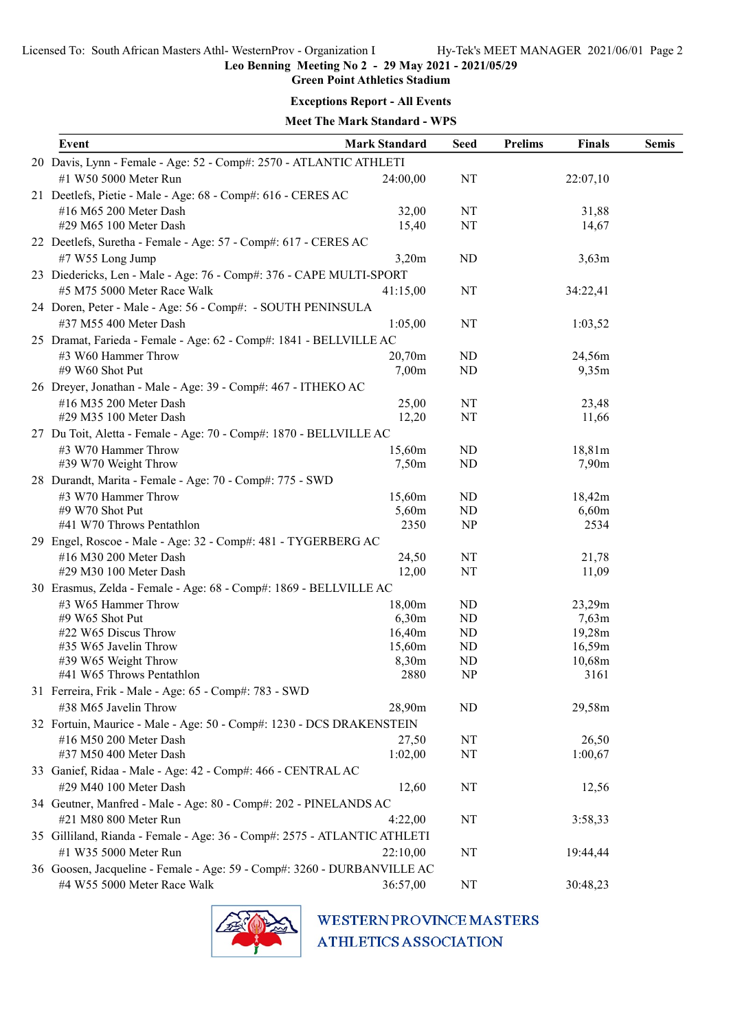Green Point Athletics Stadium

#### Exceptions Report - All Events

Meet The Mark Standard - WPS

| Event                                                                    | <b>Mark Standard</b> | <b>Seed</b> | <b>Prelims</b> | Finals            | <b>Semis</b> |
|--------------------------------------------------------------------------|----------------------|-------------|----------------|-------------------|--------------|
| 20 Davis, Lynn - Female - Age: 52 - Comp#: 2570 - ATLANTIC ATHLETI       |                      |             |                |                   |              |
| #1 W50 5000 Meter Run                                                    | 24:00,00             | NT          |                | 22:07,10          |              |
| 21 Deetlefs, Pietie - Male - Age: 68 - Comp#: 616 - CERES AC             |                      |             |                |                   |              |
| #16 M65 200 Meter Dash                                                   | 32,00                | NT          |                | 31,88             |              |
| #29 M65 100 Meter Dash                                                   | 15,40                | NT          |                | 14,67             |              |
| 22 Deetlefs, Suretha - Female - Age: 57 - Comp#: 617 - CERES AC          |                      |             |                |                   |              |
| #7 W55 Long Jump                                                         | 3,20m                | ND          |                | 3,63m             |              |
| 23 Diedericks, Len - Male - Age: 76 - Comp#: 376 - CAPE MULTI-SPORT      |                      |             |                |                   |              |
| #5 M75 5000 Meter Race Walk                                              | 41:15,00             | NT          |                | 34:22,41          |              |
| 24 Doren, Peter - Male - Age: 56 - Comp#: - SOUTH PENINSULA              |                      |             |                |                   |              |
| #37 M55 400 Meter Dash                                                   | 1:05,00              | NT          |                | 1:03,52           |              |
| 25 Dramat, Farieda - Female - Age: 62 - Comp#: 1841 - BELLVILLE AC       |                      |             |                |                   |              |
| #3 W60 Hammer Throw                                                      | 20,70m               | ND          |                | 24,56m            |              |
| #9 W60 Shot Put                                                          | 7,00m                | ND          |                | 9,35m             |              |
| 26 Dreyer, Jonathan - Male - Age: 39 - Comp#: 467 - ITHEKO AC            |                      |             |                |                   |              |
| #16 M35 200 Meter Dash                                                   | 25,00                | NT          |                | 23,48             |              |
| #29 M35 100 Meter Dash                                                   | 12,20                | NT          |                | 11,66             |              |
| 27 Du Toit, Aletta - Female - Age: 70 - Comp#: 1870 - BELLVILLE AC       |                      |             |                |                   |              |
| #3 W70 Hammer Throw                                                      | 15,60m               | ND          |                | 18,81m            |              |
| #39 W70 Weight Throw                                                     | 7,50m                | ND          |                | 7,90 <sub>m</sub> |              |
| 28 Durandt, Marita - Female - Age: 70 - Comp#: 775 - SWD                 |                      |             |                |                   |              |
| #3 W70 Hammer Throw                                                      | 15,60m               | ND          |                | 18,42m            |              |
| #9 W70 Shot Put                                                          | 5,60m                | ND          |                | 6,60m             |              |
| #41 W70 Throws Pentathlon                                                | 2350                 | NP          |                | 2534              |              |
| 29 Engel, Roscoe - Male - Age: 32 - Comp#: 481 - TYGERBERG AC            |                      |             |                |                   |              |
| #16 M30 200 Meter Dash                                                   | 24,50                | NT          |                | 21,78             |              |
| #29 M30 100 Meter Dash                                                   | 12,00                | NT          |                | 11,09             |              |
| 30 Erasmus, Zelda - Female - Age: 68 - Comp#: 1869 - BELLVILLE AC        |                      |             |                |                   |              |
| #3 W65 Hammer Throw                                                      | 18,00m               | ND          |                | 23,29m            |              |
| #9 W65 Shot Put                                                          | 6,30m                | ND          |                | 7,63m             |              |
| #22 W65 Discus Throw                                                     | 16,40m               | ND          |                | 19,28m            |              |
| #35 W65 Javelin Throw                                                    | 15,60m               | ND          |                | 16,59m            |              |
| #39 W65 Weight Throw                                                     | 8,30m                | ND          |                | 10,68m            |              |
| #41 W65 Throws Pentathlon                                                | 2880                 | NP          |                | 3161              |              |
| 31 Ferreira, Frik - Male - Age: 65 - Comp#: 783 - SWD                    |                      |             |                |                   |              |
| #38 M65 Javelin Throw                                                    | 28,90m               | ND          |                | 29,58m            |              |
| 32 Fortuin, Maurice - Male - Age: 50 - Comp#: 1230 - DCS DRAKENSTEIN     |                      |             |                |                   |              |
| #16 M50 200 Meter Dash                                                   | 27,50                | NT          |                | 26,50             |              |
| #37 M50 400 Meter Dash                                                   | 1:02,00              | NT          |                | 1:00,67           |              |
| 33 Ganief, Ridaa - Male - Age: 42 - Comp#: 466 - CENTRAL AC              |                      |             |                |                   |              |
| #29 M40 100 Meter Dash                                                   | 12,60                | NT          |                | 12,56             |              |
| 34 Geutner, Manfred - Male - Age: 80 - Comp#: 202 - PINELANDS AC         |                      |             |                |                   |              |
| #21 M80 800 Meter Run                                                    | 4:22,00              | NT          |                | 3:58,33           |              |
| 35 Gilliland, Rianda - Female - Age: 36 - Comp#: 2575 - ATLANTIC ATHLETI |                      |             |                |                   |              |
| #1 W35 5000 Meter Run                                                    | 22:10,00             | NT          |                | 19:44,44          |              |
| 36 Goosen, Jacqueline - Female - Age: 59 - Comp#: 3260 - DURBANVILLE AC  |                      |             |                |                   |              |
| #4 W55 5000 Meter Race Walk                                              | 36:57,00             | NT          |                | 30:48,23          |              |
|                                                                          |                      |             |                |                   |              |

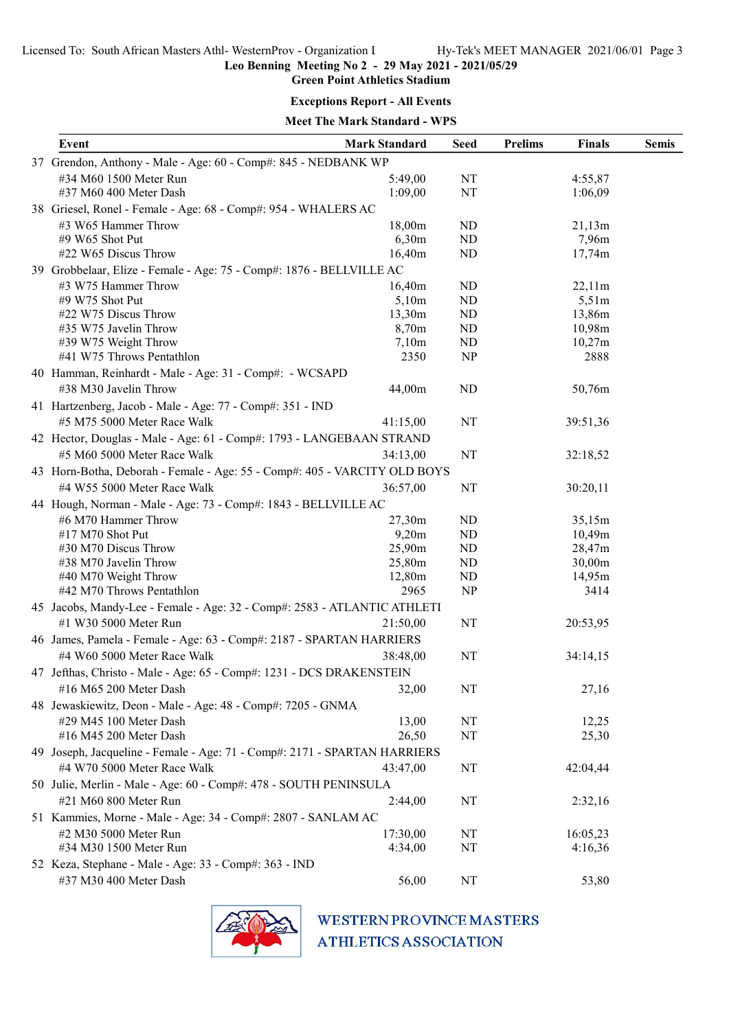Green Point Athletics Stadium

#### Exceptions Report - All Events

# Meet The Mark Standard - WPS

| Event                                                                     | <b>Mark Standard</b> | <b>Seed</b>     | <b>Prelims</b><br>Finals | <b>Semis</b> |
|---------------------------------------------------------------------------|----------------------|-----------------|--------------------------|--------------|
| 37 Grendon, Anthony - Male - Age: 60 - Comp#: 845 - NEDBANK WP            |                      |                 |                          |              |
| #34 M60 1500 Meter Run<br>#37 M60 400 Meter Dash                          | 5:49,00<br>1:09,00   | $\rm{NT}$<br>NT | 4:55,87<br>1:06,09       |              |
| 38 Griesel, Ronel - Female - Age: 68 - Comp#: 954 - WHALERS AC            |                      |                 |                          |              |
| #3 W65 Hammer Throw                                                       | 18,00m               | ND              | 21,13m                   |              |
| #9 W65 Shot Put                                                           | 6,30m                | ND              | 7,96m                    |              |
| #22 W65 Discus Throw                                                      | 16,40m               | ND              | 17,74m                   |              |
| 39 Grobbelaar, Elize - Female - Age: 75 - Comp#: 1876 - BELLVILLE AC      |                      |                 |                          |              |
| #3 W75 Hammer Throw                                                       | 16,40m               | ND              | 22,11m                   |              |
| #9 W75 Shot Put                                                           | 5,10m                | ND              | 5,51m                    |              |
| #22 W75 Discus Throw                                                      | 13,30m               | ND              | 13,86m                   |              |
| #35 W75 Javelin Throw                                                     | 8,70m                | ND              | 10,98m                   |              |
| #39 W75 Weight Throw                                                      | 7,10m                | ND              | 10,27m                   |              |
| #41 W75 Throws Pentathlon                                                 | 2350                 | NP              | 2888                     |              |
| 40 Hamman, Reinhardt - Male - Age: 31 - Comp#: - WCSAPD                   |                      |                 |                          |              |
| #38 M30 Javelin Throw                                                     | 44,00m               | ND              | 50,76m                   |              |
| 41 Hartzenberg, Jacob - Male - Age: 77 - Comp#: 351 - IND                 |                      |                 |                          |              |
| #5 M75 5000 Meter Race Walk                                               | 41:15,00             | NT              | 39:51,36                 |              |
| 42 Hector, Douglas - Male - Age: 61 - Comp#: 1793 - LANGEBAAN STRAND      |                      |                 |                          |              |
| #5 M60 5000 Meter Race Walk                                               | 34:13,00             | NT              | 32:18,52                 |              |
| 43 Horn-Botha, Deborah - Female - Age: 55 - Comp#: 405 - VARCITY OLD BOYS |                      |                 |                          |              |
| #4 W55 5000 Meter Race Walk                                               | 36:57,00             | NT              | 30:20,11                 |              |
| 44 Hough, Norman - Male - Age: 73 - Comp#: 1843 - BELLVILLE AC            |                      |                 |                          |              |
| #6 M70 Hammer Throw                                                       | 27,30m               | ND              | 35,15m                   |              |
| #17 M70 Shot Put                                                          | 9,20m                | ND              | 10,49m                   |              |
| #30 M70 Discus Throw                                                      | 25,90m               | ND              | 28,47m                   |              |
| #38 M70 Javelin Throw                                                     | 25,80m               | ND              | 30,00m                   |              |
| #40 M70 Weight Throw                                                      | 12,80m               | ND              | 14,95m                   |              |
| #42 M70 Throws Pentathlon                                                 | 2965                 | NP              | 3414                     |              |
| 45 Jacobs, Mandy-Lee - Female - Age: 32 - Comp#: 2583 - ATLANTIC ATHLETI  |                      |                 |                          |              |
| #1 W30 5000 Meter Run                                                     | 21:50,00             | NT              | 20:53,95                 |              |
| 46 James, Pamela - Female - Age: 63 - Comp#: 2187 - SPARTAN HARRIERS      |                      |                 |                          |              |
| #4 W60 5000 Meter Race Walk                                               | 38:48,00             | NT              | 34:14,15                 |              |
| 47 Jefthas, Christo - Male - Age: 65 - Comp#: 1231 - DCS DRAKENSTEIN      |                      |                 |                          |              |
| #16 M65 200 Meter Dash                                                    | 32,00                | NT              | 27,16                    |              |
|                                                                           |                      |                 |                          |              |
| 48 Jewaskiewitz, Deon - Male - Age: 48 - Comp#: 7205 - GNMA               |                      |                 |                          |              |
| #29 M45 100 Meter Dash                                                    | 13,00                | NT              | 12,25                    |              |
| #16 M45 200 Meter Dash                                                    | 26,50                | NT              | 25,30                    |              |
| 49 Joseph, Jacqueline - Female - Age: 71 - Comp#: 2171 - SPARTAN HARRIERS |                      |                 |                          |              |
| #4 W70 5000 Meter Race Walk                                               | 43:47,00             | NT              | 42:04,44                 |              |
| 50 Julie, Merlin - Male - Age: 60 - Comp#: 478 - SOUTH PENINSULA          |                      |                 |                          |              |
| #21 M60 800 Meter Run                                                     | 2:44,00              | NT              | 2:32,16                  |              |
| 51 Kammies, Morne - Male - Age: 34 - Comp#: 2807 - SANLAM AC              |                      |                 |                          |              |
| #2 M30 5000 Meter Run                                                     | 17:30,00             | NT              | 16:05,23                 |              |
| #34 M30 1500 Meter Run                                                    | 4:34,00              | NT              | 4:16,36                  |              |
| 52 Keza, Stephane - Male - Age: 33 - Comp#: 363 - IND                     |                      |                 |                          |              |
| #37 M30 400 Meter Dash                                                    | 56,00                | NT              | 53,80                    |              |

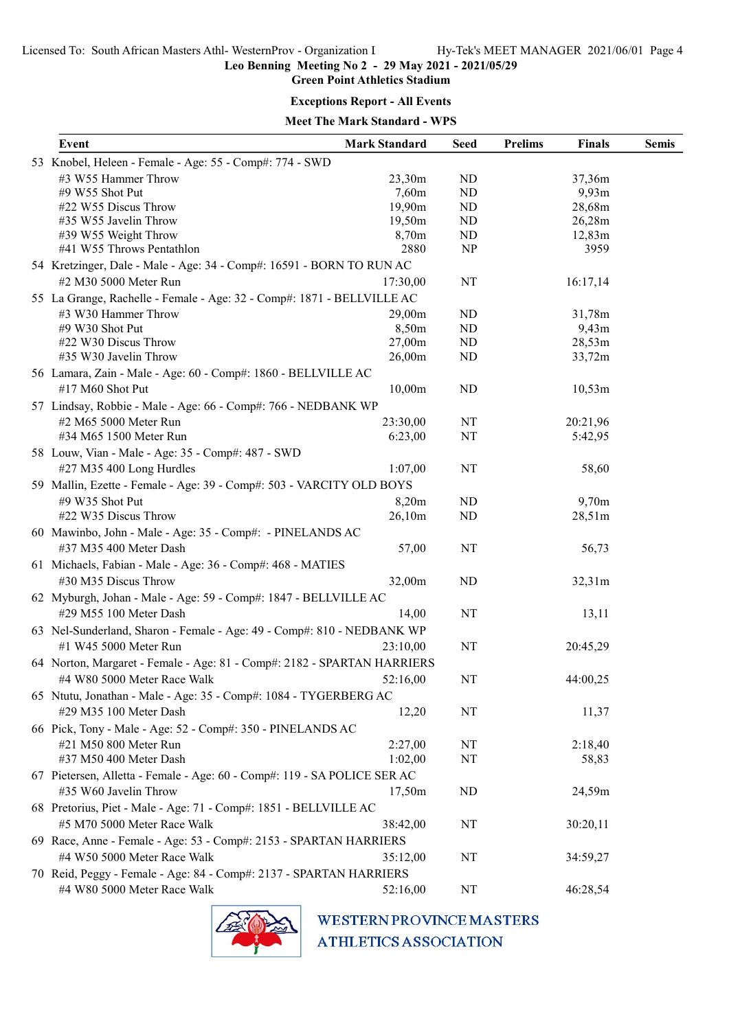Green Point Athletics Stadium

#### Exceptions Report - All Events

Meet The Mark Standard - WPS

| Event                                                                    | <b>Mark Standard</b> | <b>Seed</b>    | <b>Prelims</b> | <b>Finals</b> | <b>Semis</b> |  |  |  |
|--------------------------------------------------------------------------|----------------------|----------------|----------------|---------------|--------------|--|--|--|
| 53 Knobel, Heleen - Female - Age: 55 - Comp#: 774 - SWD                  |                      |                |                |               |              |  |  |  |
| #3 W55 Hammer Throw                                                      | 23,30m               | ND             |                | 37,36m        |              |  |  |  |
| #9 W55 Shot Put                                                          | 7,60m                | ND             |                | 9,93m         |              |  |  |  |
| #22 W55 Discus Throw                                                     | 19,90m               | ND             |                | 28,68m        |              |  |  |  |
| #35 W55 Javelin Throw                                                    | 19,50m               | ND             |                | 26,28m        |              |  |  |  |
| #39 W55 Weight Throw                                                     | 8,70m                | ND             |                | 12,83m        |              |  |  |  |
| #41 W55 Throws Pentathlon                                                | 2880                 | NP             |                | 3959          |              |  |  |  |
| 54 Kretzinger, Dale - Male - Age: 34 - Comp#: 16591 - BORN TO RUN AC     |                      |                |                |               |              |  |  |  |
| #2 M30 5000 Meter Run                                                    | 17:30,00             | NT             |                | 16:17,14      |              |  |  |  |
| 55 La Grange, Rachelle - Female - Age: 32 - Comp#: 1871 - BELLVILLE AC   |                      |                |                |               |              |  |  |  |
| #3 W30 Hammer Throw                                                      | 29,00m               | ND             |                | 31,78m        |              |  |  |  |
| #9 W30 Shot Put                                                          | 8,50m                | ND             |                | 9,43m         |              |  |  |  |
| #22 W30 Discus Throw                                                     | 27,00m               | N <sub>D</sub> |                | 28,53m        |              |  |  |  |
| #35 W30 Javelin Throw                                                    | 26,00m               | N <sub>D</sub> |                | 33,72m        |              |  |  |  |
| 56 Lamara, Zain - Male - Age: 60 - Comp#: 1860 - BELLVILLE AC            |                      |                |                |               |              |  |  |  |
| #17 M60 Shot Put                                                         | 10,00m               | N <sub>D</sub> |                | 10,53m        |              |  |  |  |
| 57 Lindsay, Robbie - Male - Age: 66 - Comp#: 766 - NEDBANK WP            |                      |                |                |               |              |  |  |  |
| #2 M65 5000 Meter Run                                                    | 23:30,00             | NT             |                | 20:21,96      |              |  |  |  |
| #34 M65 1500 Meter Run                                                   | 6:23,00              | NT             |                | 5:42,95       |              |  |  |  |
| 58 Louw, Vian - Male - Age: 35 - Comp#: 487 - SWD                        |                      |                |                |               |              |  |  |  |
| #27 M35 400 Long Hurdles                                                 | 1:07,00              | NT             |                | 58,60         |              |  |  |  |
| 59 Mallin, Ezette - Female - Age: 39 - Comp#: 503 - VARCITY OLD BOYS     |                      |                |                |               |              |  |  |  |
| #9 W35 Shot Put                                                          | 8,20m                | ND             |                | 9,70m         |              |  |  |  |
| #22 W35 Discus Throw                                                     | 26,10m               | N <sub>D</sub> |                | 28,51m        |              |  |  |  |
| 60 Mawinbo, John - Male - Age: 35 - Comp#: - PINELANDS AC                |                      |                |                |               |              |  |  |  |
| #37 M35 400 Meter Dash                                                   | 57,00                | NT             |                | 56,73         |              |  |  |  |
|                                                                          |                      |                |                |               |              |  |  |  |
| 61 Michaels, Fabian - Male - Age: 36 - Comp#: 468 - MATIES               |                      |                |                |               |              |  |  |  |
| #30 M35 Discus Throw                                                     | 32,00m               | N <sub>D</sub> |                | 32,31m        |              |  |  |  |
| 62 Myburgh, Johan - Male - Age: 59 - Comp#: 1847 - BELLVILLE AC          |                      |                |                |               |              |  |  |  |
| #29 M55 100 Meter Dash                                                   | 14,00                | NT             |                | 13,11         |              |  |  |  |
| 63 Nel-Sunderland, Sharon - Female - Age: 49 - Comp#: 810 - NEDBANK WP   |                      |                |                |               |              |  |  |  |
| #1 W45 5000 Meter Run                                                    | 23:10,00             | NT             |                | 20:45,29      |              |  |  |  |
| 64 Norton, Margaret - Female - Age: 81 - Comp#: 2182 - SPARTAN HARRIERS  |                      |                |                |               |              |  |  |  |
| #4 W80 5000 Meter Race Walk                                              | 52:16,00             | NT             |                | 44:00,25      |              |  |  |  |
| 65 Ntutu, Jonathan - Male - Age: 35 - Comp#: 1084 - TYGERBERG AC         |                      |                |                |               |              |  |  |  |
| #29 M35 100 Meter Dash                                                   | 12,20                | NT             |                | 11,37         |              |  |  |  |
| 66 Pick, Tony - Male - Age: 52 - Comp#: 350 - PINELANDS AC               |                      |                |                |               |              |  |  |  |
| #21 M50 800 Meter Run                                                    | 2:27,00              | NT             |                | 2:18,40       |              |  |  |  |
| #37 M50 400 Meter Dash                                                   | 1:02,00              | NT             |                | 58,83         |              |  |  |  |
| 67 Pietersen, Alletta - Female - Age: 60 - Comp#: 119 - SA POLICE SER AC |                      |                |                |               |              |  |  |  |
|                                                                          |                      |                |                |               |              |  |  |  |
| #35 W60 Javelin Throw                                                    | 17,50m               | N <sub>D</sub> |                | 24,59m        |              |  |  |  |
| 68 Pretorius, Piet - Male - Age: 71 - Comp#: 1851 - BELLVILLE AC         |                      |                |                |               |              |  |  |  |
| #5 M70 5000 Meter Race Walk                                              | 38:42,00             | NT             |                | 30:20,11      |              |  |  |  |
| 69 Race, Anne - Female - Age: 53 - Comp#: 2153 - SPARTAN HARRIERS        |                      |                |                |               |              |  |  |  |
| #4 W50 5000 Meter Race Walk                                              | 35:12,00             | NT             |                | 34:59,27      |              |  |  |  |
| 70 Reid, Peggy - Female - Age: 84 - Comp#: 2137 - SPARTAN HARRIERS       |                      |                |                |               |              |  |  |  |
| #4 W80 5000 Meter Race Walk                                              | 52:16,00             | NT             |                | 46:28,54      |              |  |  |  |

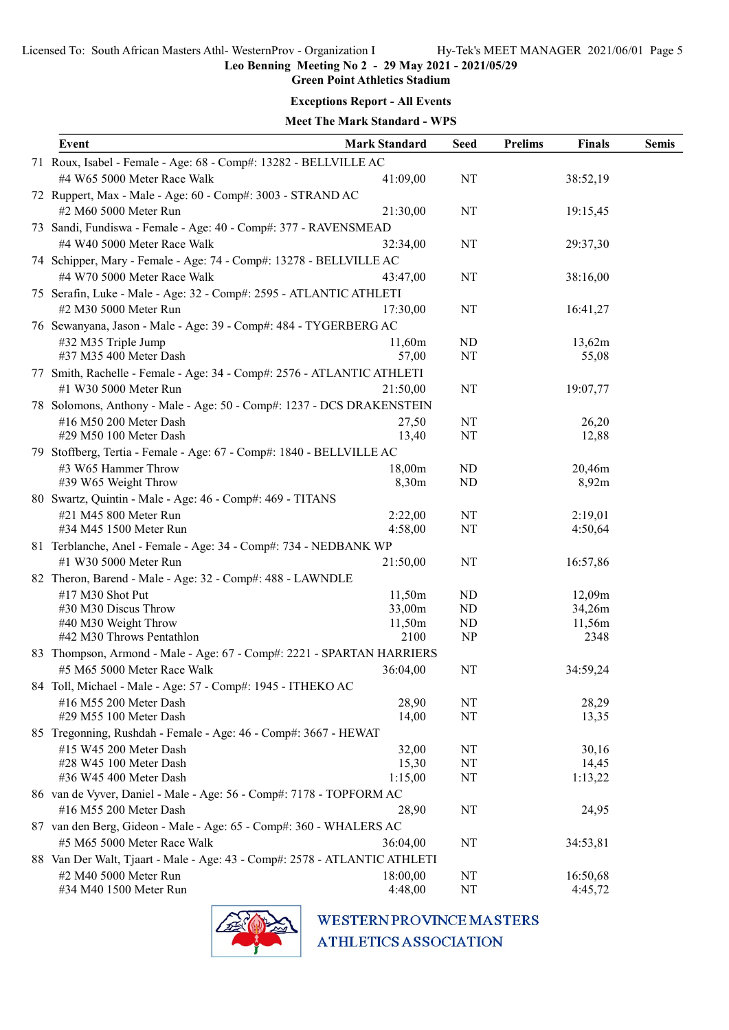# Green Point Athletics Stadium

# Exceptions Report - All Events

| <b>Meet The Mark Standard - WPS</b> |  |
|-------------------------------------|--|
|                                     |  |

| Event                                                                     | <b>Mark Standard</b> | <b>Seed</b> | <b>Prelims</b> | Finals   | <b>Semis</b> |
|---------------------------------------------------------------------------|----------------------|-------------|----------------|----------|--------------|
| 71 Roux, Isabel - Female - Age: 68 - Comp#: 13282 - BELLVILLE AC          |                      |             |                |          |              |
| #4 W65 5000 Meter Race Walk                                               | 41:09,00             | NT          |                | 38:52,19 |              |
| 72 Ruppert, Max - Male - Age: 60 - Comp#: 3003 - STRAND AC                |                      |             |                |          |              |
| #2 M60 5000 Meter Run                                                     | 21:30,00             | NT          |                | 19:15,45 |              |
| 73 Sandi, Fundiswa - Female - Age: 40 - Comp#: 377 - RAVENSMEAD           |                      |             |                |          |              |
| #4 W40 5000 Meter Race Walk                                               | 32:34,00             | NT          |                | 29:37,30 |              |
| 74 Schipper, Mary - Female - Age: 74 - Comp#: 13278 - BELLVILLE AC        |                      |             |                |          |              |
| #4 W70 5000 Meter Race Walk                                               |                      |             |                |          |              |
|                                                                           | 43:47,00             | NT          |                | 38:16,00 |              |
| 75 Serafin, Luke - Male - Age: 32 - Comp#: 2595 - ATLANTIC ATHLETI        |                      |             |                |          |              |
| #2 M30 5000 Meter Run                                                     | 17:30,00             | NT          |                | 16:41,27 |              |
| 76 Sewanyana, Jason - Male - Age: 39 - Comp#: 484 - TYGERBERG AC          |                      |             |                |          |              |
| #32 M35 Triple Jump                                                       | 11,60m               | ND          |                | 13,62m   |              |
| #37 M35 400 Meter Dash                                                    | 57,00                | NT          |                | 55,08    |              |
| 77 Smith, Rachelle - Female - Age: 34 - Comp#: 2576 - ATLANTIC ATHLETI    |                      |             |                |          |              |
| #1 W30 5000 Meter Run                                                     | 21:50,00             | $\rm{NT}$   |                | 19:07,77 |              |
| 78 Solomons, Anthony - Male - Age: 50 - Comp#: 1237 - DCS DRAKENSTEIN     |                      |             |                |          |              |
| #16 M50 200 Meter Dash                                                    | 27,50                | NT          |                | 26,20    |              |
| #29 M50 100 Meter Dash                                                    | 13,40                | NT          |                | 12,88    |              |
| 79 Stoffberg, Tertia - Female - Age: 67 - Comp#: 1840 - BELLVILLE AC      |                      |             |                |          |              |
| #3 W65 Hammer Throw                                                       | 18,00m               | ND          |                | 20,46m   |              |
| #39 W65 Weight Throw                                                      | 8,30m                | ND          |                | 8,92m    |              |
| 80 Swartz, Quintin - Male - Age: 46 - Comp#: 469 - TITANS                 |                      |             |                |          |              |
| #21 M45 800 Meter Run                                                     | 2:22,00              | NT          |                | 2:19,01  |              |
| #34 M45 1500 Meter Run                                                    | 4:58,00              | NT          |                | 4:50,64  |              |
| 81 Terblanche, Anel - Female - Age: 34 - Comp#: 734 - NEDBANK WP          |                      |             |                |          |              |
| #1 W30 5000 Meter Run                                                     | 21:50,00             | NT          |                | 16:57,86 |              |
| 82 Theron, Barend - Male - Age: 32 - Comp#: 488 - LAWNDLE                 |                      |             |                |          |              |
| #17 M30 Shot Put                                                          | 11,50m               | ND          |                | 12,09m   |              |
| #30 M30 Discus Throw                                                      | 33,00m               | ND          |                | 34,26m   |              |
| #40 M30 Weight Throw                                                      | 11,50m               | ND          |                | 11,56m   |              |
| #42 M30 Throws Pentathlon                                                 | 2100                 | NP          |                | 2348     |              |
| 83 Thompson, Armond - Male - Age: 67 - Comp#: 2221 - SPARTAN HARRIERS     |                      |             |                |          |              |
| #5 M65 5000 Meter Race Walk                                               | 36:04,00             | NT          |                | 34:59,24 |              |
| 84 Toll, Michael - Male - Age: 57 - Comp#: 1945 - ITHEKO AC               |                      |             |                |          |              |
| #16 M55 200 Meter Dash                                                    | 28,90                | NT          |                | 28,29    |              |
| #29 M55 100 Meter Dash                                                    | 14,00                | NT          |                | 13,35    |              |
| 85 Tregonning, Rushdah - Female - Age: 46 - Comp#: 3667 - HEWAT           |                      |             |                |          |              |
| #15 W45 200 Meter Dash                                                    | 32,00                | NT          |                | 30,16    |              |
| #28 W45 100 Meter Dash                                                    | 15,30                | NT          |                | 14,45    |              |
| #36 W45 400 Meter Dash                                                    | 1:15,00              | NT          |                | 1:13,22  |              |
| 86 van de Vyver, Daniel - Male - Age: 56 - Comp#: 7178 - TOPFORM AC       |                      |             |                |          |              |
| #16 M55 200 Meter Dash                                                    | 28,90                | NT          |                | 24,95    |              |
| 87 van den Berg, Gideon - Male - Age: 65 - Comp#: 360 - WHALERS AC        |                      |             |                |          |              |
| #5 M65 5000 Meter Race Walk                                               | 36:04,00             | NT          |                | 34:53,81 |              |
| 88 Van Der Walt, Tjaart - Male - Age: 43 - Comp#: 2578 - ATLANTIC ATHLETI |                      |             |                |          |              |
| #2 M40 5000 Meter Run                                                     | 18:00,00             | NT          |                | 16:50,68 |              |
| #34 M40 1500 Meter Run                                                    | 4:48,00              | NT          |                | 4:45,72  |              |



**WESTERN PROVINCE MASTERS** 

**ATHLETICS ASSOCIATION**